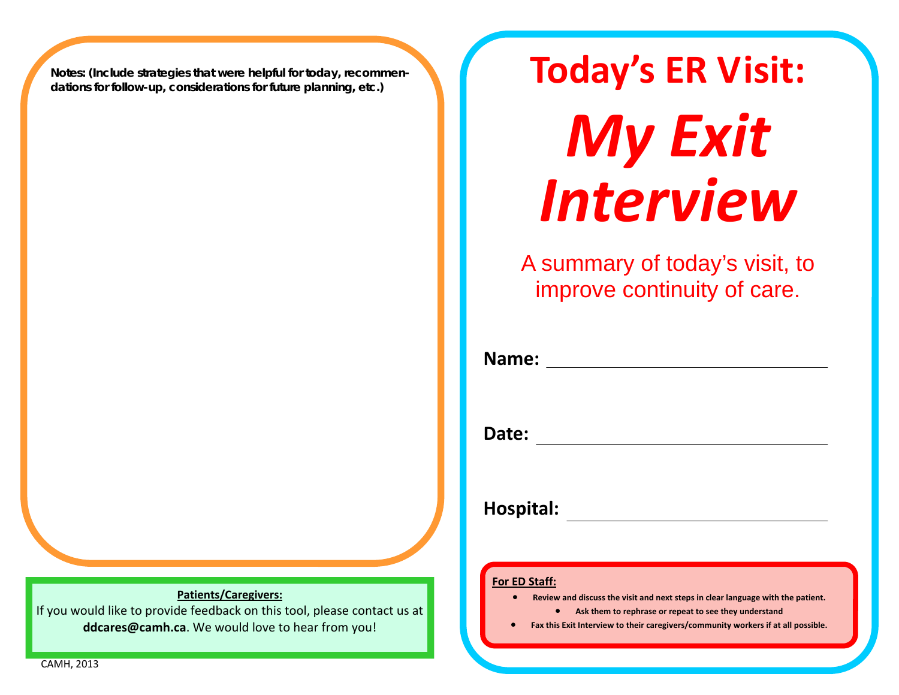**Notes: (Include strategies that were helpful for today, recommendations for follow-up, considerations for future planning, etc.)** 

**Patients/Caregivers:**

If you would like to provide feedback on this tool, please contact us at **ddcares@camh.ca**. We would love to hear from you!

**Today's ER Visit:** *My Exit Interview*

A summary of today's visit, to improve continuity of care.

| Name:        |  |  |  |
|--------------|--|--|--|
|              |  |  |  |
| <b>Date:</b> |  |  |  |

**Hospital:**

#### **For ED Staff:**

- $\bullet$  **Review and discuss the visit and next steps in clear language with the patient.**
	- **Ask them to rephrase or repeat to see they understand**
- $\bullet$ **Fax this Exit Interview to their caregivers/community workers if at all possible.**